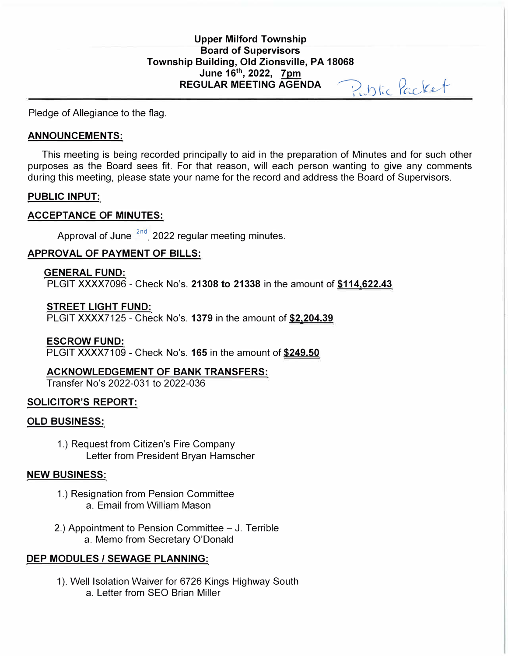# **Upper Milford Township Board of Supervisors Township Building, Old Zionsville, PA 18068 June 16th , 2022, 7pm**  REGULAR MEETING AGENDA Public Packet

Pledge of Allegiance to the flag.

### **ANNOUNCEMENTS:**

This meeting is being recorded principally to aid in the preparation of Minutes and for such other purposes as the Board sees fit. For that reason, will each person wanting to give any comments during this meeting, please state your name for the record and address the Board of Supervisors.

## **PUBLIC INPUT:**

## **ACCEPTANCE OF MINUTES:**

Approval of June  $2nd$ , 2022 regular meeting minutes.

## **APPROVAL OF PAYMENT OF BILLS:**

## **GENERAL FUND:**

PLGIT XXXX7096 - Check No's. **21308 to 21338** in the amount of **\$114.622.43** 

## **STREET LIGHT FUND:**

PLGIT XXXX7125 - Check No's. **1379** in the amount of **\$2.204.39** 

## **ESCROW FUND:**

PLGIT XXXX7109 - Check No's. **165** in the amount of **\$249.50** 

## **ACKNOWLEDGEMENT OF BANK TRANSFERS:**

Transfer No's 2022-031 to 2022-036

## **SOLICITOR'S REPORT:**

## **OLD BUSINESS:**

1.) Request from Citizen's Fire Company Letter from President Bryan Hamscher

#### **NEW BUSINESS:**

- 1.) Resignation from Pension Committee a. Email from William Mason
- 2.) Appointment to Pension Committee J. Terrible a. Memo from Secretary O'Donald

## **DEP MODULES/ SEWAGE PLANNING:**

1). Well Isolation Waiver for 6726 Kings Highway South a. Letter from SEO Brian Miller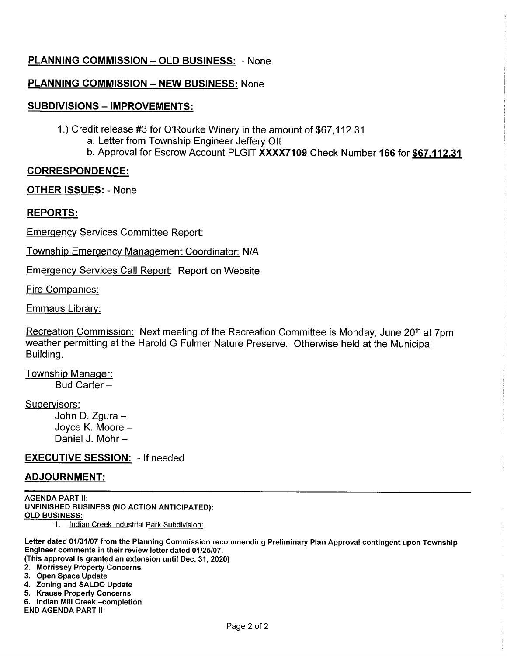## **PLANNING COMMISSION - OLD BUSINESS: - None**

## **PLANNING COMMISSION - NEW BUSINESS: None**

### **SUBDIVISIONS - IMPROVEMENTS:**

1.) Credit release #3 for O'Rourke Winery in the amount of \$67,112.31 a. Letter from Township Engineer Jeffery Ott

b. Approval for Escrow Account PLGIT XXXX7109 Check Number 166 for \$67,112.31

### **CORRESPONDENCE:**

**OTHER ISSUES: - None** 

#### **REPORTS:**

**Emergency Services Committee Report:** 

Township Emergency Management Coordinator: N/A

**Emergency Services Call Report: Report on Website** 

Fire Companies:

Emmaus Library:

Recreation Commission: Next meeting of the Recreation Committee is Monday, June 20<sup>th</sup> at 7pm weather permitting at the Harold G Fulmer Nature Preserve. Otherwise held at the Municipal Building.

Township Manager: Bud Carter-

Supervisors:

John D. Zgura -Joyce K. Moore -Daniel J. Mohr-

#### **EXECUTIVE SESSION:** - If needed

#### **ADJOURNMENT:**

**AGENDA PART II:** UNFINISHED BUSINESS (NO ACTION ANTICIPATED): **OLD BUSINESS:**  $1.$ Indian Creek Industrial Park Subdivision:

Letter dated 01/31/07 from the Planning Commission recommending Preliminary Plan Approval contingent upon Township Engineer comments in their review letter dated 01/25/07.

(This approval is granted an extension until Dec. 31, 2020)

- 2. Morrissey Property Concerns
- 3. Open Space Update
- 4. Zoning and SALDO Update
- 5. Krause Property Concerns
- 6. Indian Mill Creek completion

**END AGENDA PART II:**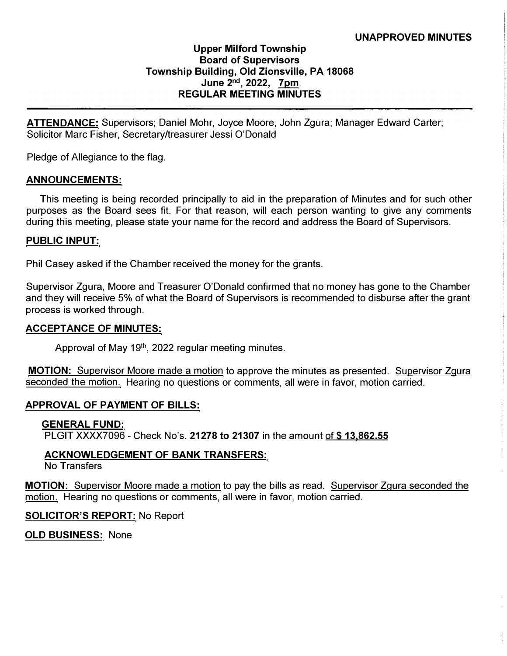### **UNAPPROVED MINUTES**

## **Upper Milford Township Board of Supervisors Township Building, Old Zionsville, PA 18068 June 2 nd , 2022, 7pm REGULAR MEETING MINUTES**

**ATTENDANCE:** Supervisors; Daniel Mohr, Joyce Moore, John Zgura; Manager Edward Carter; Solicitor Marc Fisher, Secretary/treasurer Jessi O'Donald

Pledge of Allegiance to the flag.

#### **ANNOUNCEMENTS:**

This meeting is being recorded principally to aid in the preparation of Minutes and for such other purposes as the Board sees fit. For that reason, will each person wanting to give any comments during this meeting, please state your name for the record and address the Board of Supervisors.

#### **PUBLIC INPUT:**

Phil Casey asked if the Chamber received the money for the grants.

Supervisor Zgura, Moore and Treasurer O'Donald confirmed that no money has gone to the Chamber and they will receive 5% of what the Board of Supervisors is recommended to disburse after the grant process is worked through.

#### **ACCEPTANCE OF MINUTES:**

Approval of May 19<sup>th</sup>, 2022 regular meeting minutes.

**MOTION:** Supervisor Moore made a motion to approve the minutes as presented. Supervisor Zgura seconded the motion. Hearing no questions or comments, all were in favor, motion carried.

#### **APPROVAL OF PAYMENT OF BILLS:**

#### **GENERAL FUND:**

PLGIT XXXX7096 - Check No's. **21278 to 21307** in the amount of\$ **13.862.55** 

#### **ACKNOWLEDGEMENT OF BANK TRANSFERS:**

No Transfers

**MOTION:** Supervisor Moore made a motion to pay the bills as read. Supervisor Zgura seconded the motion. Hearing no questions or comments, all were in favor, motion carried.

#### **SOLICITOR'S REPORT:** No Report

**OLD BUSINESS:** None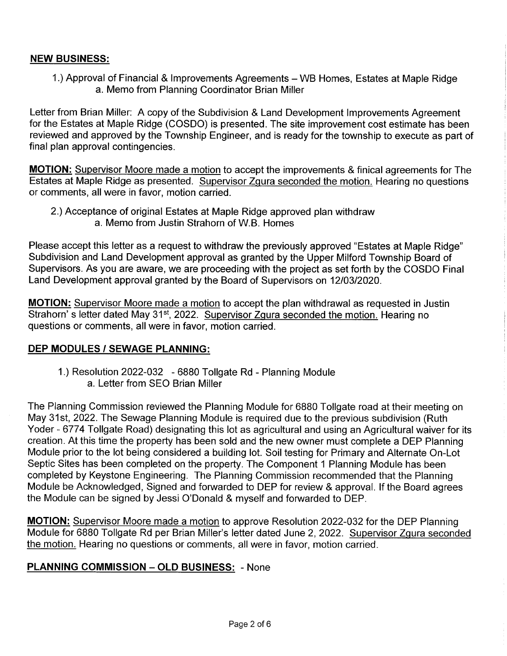## **NEW BUSINESS:**

1.) Approval of Financial & Improvements Agreements - WB Homes, Estates at Maple Ridge a. Memo from Planning Coordinator Brian Miller

Letter from Brian Miller: A copy of the Subdivision & Land Development Improvements Agreement for the Estates at Maple Ridge (COSDO) is presented. The site improvement cost estimate has been reviewed and approved by the Township Engineer, and is ready for the township to execute as part of final plan approval contingencies.

**MOTION:** Supervisor Moore made a motion to accept the improvements & finical agreements for The Estates at Maple Ridge as presented. Supervisor Zgura seconded the motion. Hearing no questions or comments, all were in favor, motion carried.

2.) Acceptance of original Estates at Maple Ridge approved plan withdraw a. Memo from Justin Strahorn of W.B. Homes

Please accept this letter as a request to withdraw the previously approved "Estates at Maple Ridge" Subdivision and Land Development approval as granted by the Upper Milford Township Board of Supervisors. As you are aware, we are proceeding with the project as set forth by the COSDO Final Land Development approval granted by the Board of Supervisors on 12/03/2020.

**MOTION:** Supervisor Moore made a motion to accept the plan withdrawal as requested in Justin Strahorn's letter dated May 31<sup>st</sup>, 2022. Supervisor Zgura seconded the motion. Hearing no questions or comments, all were in favor, motion carried.

## **DEP MODULES / SEWAGE PLANNING:**

1.) Resolution 2022-032 - 6880 Tollgate Rd - Planning Module a. Letter from SEO Brian Miller

The Planning Commission reviewed the Planning Module for 6880 Tollgate road at their meeting on May 31st, 2022. The Sewage Planning Module is required due to the previous subdivision (Ruth Yoder - 6774 Tollgate Road) designating this lot as agricultural and using an Agricultural waiver for its creation. At this time the property has been sold and the new owner must complete a DEP Planning Module prior to the lot being considered a building lot. Soil testing for Primary and Alternate On-Lot Septic Sites has been completed on the property. The Component 1 Planning Module has been completed by Keystone Engineering. The Planning Commission recommended that the Planning Module be Acknowledged, Signed and forwarded to DEP for review & approval. If the Board agrees the Module can be signed by Jessi O'Donald & myself and forwarded to DEP.

**MOTION:** Supervisor Moore made a motion to approve Resolution 2022-032 for the DEP Planning Module for 6880 Tollgate Rd per Brian Miller's letter dated June 2, 2022. Supervisor Zgura seconded the motion. Hearing no questions or comments, all were in favor, motion carried.

## **PLANNING COMMISSION - OLD BUSINESS: - None**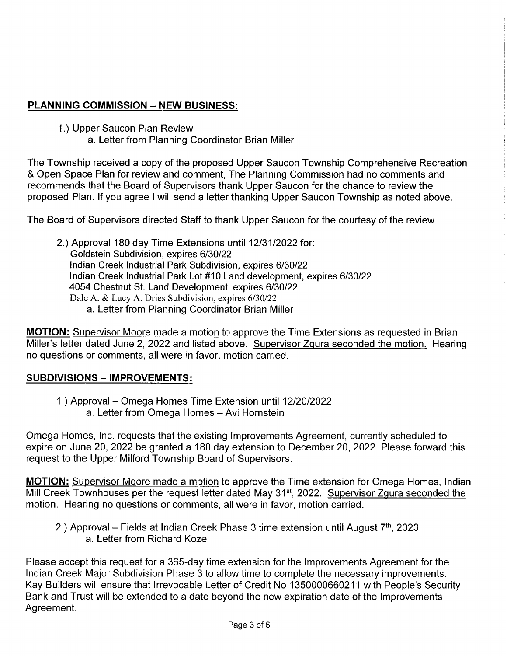# **PLANNING COMMISSION - NEW BUSINESS:**

1.) Upper Saucon Plan Review

a. Letter from Planning Coordinator Brian Miller

The Township received a copy of the proposed Upper Saucon Township Comprehensive Recreation & Open Space Plan for review and comment, The Planning Commission had no comments and recommends that the Board of Supervisors thank Upper Saucon for the chance to review the proposed Plan. If you agree I will send a letter thanking Upper Saucon Township as noted above.

The Board of Supervisors directed Staff to thank Upper Saucon for the courtesy of the review.

2.) Approval 180 day Time Extensions until 12/31/2022 for: Goldstein Subdivision, expires 6/30/22 Indian Creek Industrial Park Subdivision, expires 6/30/22 Indian Creek Industrial Park Lot #10 Land development, expires 6/30/22 4054 Chestnut St. Land Development, expires 6/30/22 Dale A. & Lucy A. Dries Subdivision, expires 6/30/22 a. Letter from Planning Coordinator Brian Miller

**MOTION:** Supervisor Moore made a motion to approve the Time Extensions as requested in Brian Miller's letter dated June 2, 2022 and listed above. Supervisor Zgura seconded the motion. Hearing no questions or comments, all were in favor, motion carried.

## **SUBDIVISIONS - IMPROVEMENTS:**

1.) Approval – Omega Homes Time Extension until 12/20/2022 a. Letter from Omega Homes - Avi Hornstein

Omega Homes, Inc. requests that the existing Improvements Agreement, currently scheduled to expire on June 20, 2022 be granted a 180 day extension to December 20, 2022. Please forward this request to the Upper Milford Township Board of Supervisors.

**MOTION:** Supervisor Moore made a motion to approve the Time extension for Omega Homes, Indian Mill Creek Townhouses per the request letter dated May 31<sup>st</sup>, 2022. Supervisor Zgura seconded the motion. Hearing no questions or comments, all were in favor, motion carried.

2.) Approval – Fields at Indian Creek Phase 3 time extension until August  $7<sup>th</sup>$ , 2023 a. Letter from Richard Koze

Please accept this request for a 365-day time extension for the Improvements Agreement for the Indian Creek Major Subdivision Phase 3 to allow time to complete the necessary improvements. Kay Builders will ensure that Irrevocable Letter of Credit No 1350000660211 with People's Security Bank and Trust will be extended to a date beyond the new expiration date of the Improvements Agreement.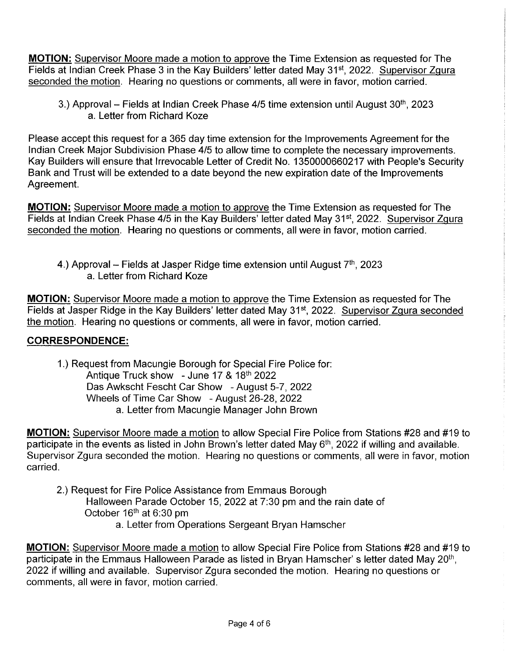**MOTION:** Supervisor Moore made a motion to approve the Time Extension as requested for The Fields at Indian Creek Phase 3 in the Kay Builders' letter dated May 31<sup>st</sup>, 2022. Supervisor Zgura seconded the motion. Hearing no questions or comments, all were in favor, motion carried.

3.) Approval – Fields at Indian Creek Phase 4/5 time extension until August 30<sup>th</sup>, 2023 a. Letter from Richard Koze

Please accept this request for a 365 day time extension for the Improvements Agreement for the Indian Creek Major Subdivision Phase 4/5 to allow time to complete the necessary improvements. Kay Builders will ensure that Irrevocable Letter of Credit No. 1350000660217 with People's Security Bank and Trust will be extended to a date beyond the new expiration date of the Improvements Agreement.

**MOTION:** Supervisor Moore made a motion to approve the Time Extension as requested for The Fields at Indian Creek Phase 4/5 in the Kay Builders' letter dated May 31<sup>st</sup>, 2022. Supervisor Zgura seconded the motion. Hearing no questions or comments, all were in favor, motion carried.

4.) Approval – Fields at Jasper Ridge time extension until August  $7<sup>th</sup>$ , 2023 a. Letter from Richard Koze

**MOTION:** Supervisor Moore made a motion to approve the Time Extension as requested for The Fields at Jasper Ridge in the Kay Builders' letter dated May 31<sup>st</sup>, 2022. Supervisor Zgura seconded the motion. Hearing no questions or comments, all were in favor, motion carried.

# **CORRESPONDENCE:**

1.) Request from Macungie Borough for Special Fire Police for: Antique Truck show - June 17 & 18th 2022 Das Awkscht Fescht Car Show - August 5-7, 2022 Wheels of Time Car Show - August 26-28, 2022 a. Letter from Macungie Manager John Brown

MOTION: Supervisor Moore made a motion to allow Special Fire Police from Stations #28 and #19 to participate in the events as listed in John Brown's letter dated May 6<sup>th</sup>, 2022 if willing and available. Supervisor Zgura seconded the motion. Hearing no questions or comments, all were in favor, motion carried.

2.) Request for Fire Police Assistance from Emmaus Borough Halloween Parade October 15, 2022 at 7:30 pm and the rain date of October 16<sup>th</sup> at 6:30 pm a. Letter from Operations Sergeant Bryan Hamscher

**MOTION:** Supervisor Moore made a motion to allow Special Fire Police from Stations #28 and #19 to participate in the Emmaus Halloween Parade as listed in Bryan Hamscher's letter dated May 20<sup>th</sup>, 2022 if willing and available. Supervisor Zgura seconded the motion. Hearing no questions or comments, all were in favor, motion carried.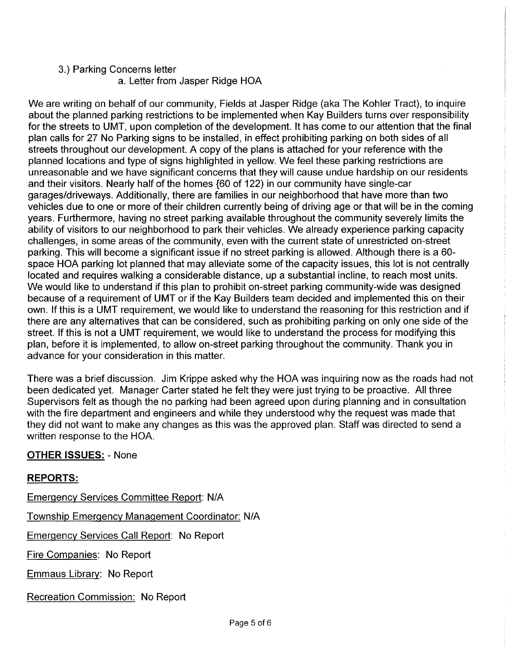#### 3.) Parking Concerns letter a. Letter from Jasper Ridge HOA

We are writing on behalf of our community, Fields at Jasper Ridge (aka The Kohler Tract), to inquire about the planned parking restrictions to be implemented when Kay Builders turns over responsibility for the streets to UMT, upon completion of the development. It has come to our attention that the final plan calls for 27 No Parking signs to be installed, in effect prohibiting parking on both sides of all streets throughout our development. A copy of the plans is attached for your reference with the planned locations and type of signs highlighted in yellow. We feel these parking restrictions are unreasonable and we have significant concerns that they will cause undue hardship on our residents and their visitors. Nearly half of the homes {60 of 122) in our community have single-car garages/driveways. Additionally, there are families in our neighborhood that have more than two vehicles due to one or more of their children currently being of driving age or that will be in the coming years. Furthermore, having no street parking available throughout the community severely limits the ability of visitors to our neighborhood to park their vehicles. We already experience parking capacity challenges, in some areas of the community, even with the current state of unrestricted on-street parking. This will become a significant issue if no street parking is allowed. Although there is a 60space HOA parking lot planned that may alleviate some of the capacity issues, this lot is not centrally located and requires walking a considerable distance, up a substantial incline, to reach most units. We would like to understand if this plan to prohibit on-street parking community-wide was designed because of a requirement of UMT or if the Kay Builders team decided and implemented this on their own. If this is a UMT requirement, we would like to understand the reasoning for this restriction and if there are any alternatives that can be considered, such as prohibiting parking on only one side of the street. If this is not a UMT requirement, we would like to understand the process for modifying this plan, before it is implemented, to allow on-street parking throughout the community. Thank you in advance for your consideration in this matter.

There was a brief discussion. Jim Krippe asked why the HOA was inquiring now as the roads had not been dedicated yet. Manager Carter stated he felt they were just trying to be proactive. All three Supervisors felt as though the no parking had been agreed upon during planning and in consultation with the fire department and engineers and while they understood why the request was made that they did not want to make any changes as this was the approved plan. Staff was directed to send a written response to the HOA.

## **OTHER ISSUES: - None**

## **REPORTS:**

Emergency Services Committee Report: N/A **Township Emergency Management Coordinator: N/A Emergency Services Call Report: No Report** Fire Companies: No Report Emmaus Library: No Report Recreation Commission: No Report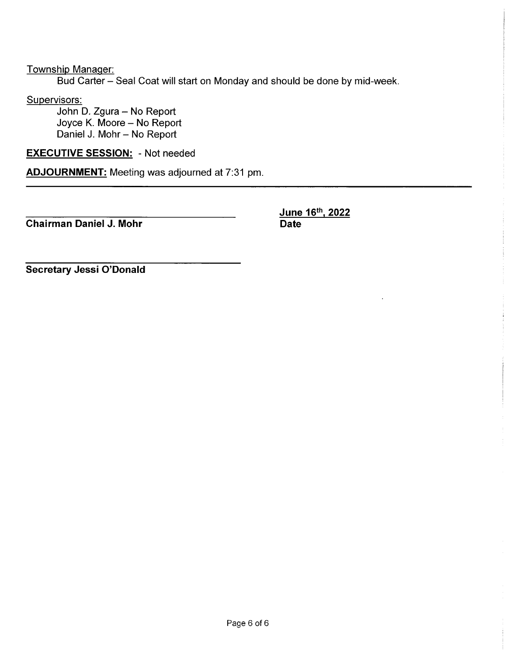Township Manager:

Bud Carter - Seal Coat will start on Monday and should be done by mid-week.

Supervisors:

John D. Zgura - No Report Joyce K. Moore - No Report Daniel J. Mohr - No Report

**EXECUTIVE SESSION: - Not needed** 

**ADJOURNMENT:** Meeting was adjourned at 7:31 pm.

**Chairman Daniel J. Mohr** 

June 16th, 2022 **Date** 

Secretary Jessi O'Donald